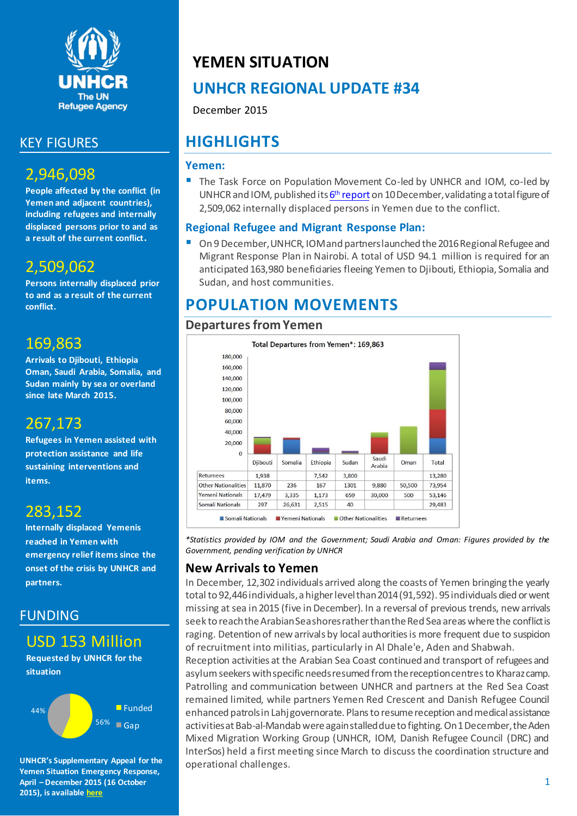

### KEY FIGURES

## 2,946,098

**People affected by the conflict (in Yemen and adjacent countries), including refugees and internally displaced persons prior to and as a result of the current conflict.**

## 2,509,062

**Persons internally displaced prior to and as a result of the current conflict.**

### 169,863

**Arrivals to Djibouti, Ethiopia Oman, Saudi Arabia, Somalia, and Sudan mainly by sea or overland since late March 2015.**

## 267,173

**Refugees in Yemen assisted with protection assistance and life sustaining interventions and items.**

## 283,152

**Internally displaced Yemenis reached in Yemen with emergency relief items since the onset of the crisis by UNHCR and partners.**

### FUNDING

### USD 153 Million

**Requested by UNHCR for the situation**



**UNHCR's Supplementary Appeal for the Yemen Situation Emergency Response, April – December 2015 (16 October 2015), is available [here](http://reporting.unhcr.org/sites/default/files/UNHCR%20Yemen%20SB%20Revision%2016%20October%202015.pdf)**

## **YEMEN SITUATION**

## **UNHCR REGIONAL UPDATE #34**

December 2015

## **HIGHLIGHTS**

#### **Yemen:**

 The Task Force on Population Movement Co-led by UNHCR and IOM, co-led by UNHCR and IOM, published its <mark>6<sup>th</sup> [report](http://reliefweb.int/sites/reliefweb.int/files/resources/tfpm_6th_report_10_december_2015.pdf)</mark> on 10 December, validating a total figure of 2,509,062 internally displaced persons in Yemen due to the conflict.

#### **Regional Refugee and Migrant Response Plan:**

 On 9 December, UNHCR, IOM and partners launched the 2016 Regional Refugee and Migrant Response Plan in Nairobi. A total of USD 94.1 million is required for an anticipated 163,980 beneficiaries fleeing Yemen to Djibouti, Ethiopia, Somalia and Sudan, and host communities.

## **POPULATION MOVEMENTS**

#### **Departures from Yemen**



*\*Statistics provided by IOM and the Government; Saudi Arabia and Oman: Figures provided by the Government, pending verification by UNHCR*

### **New Arrivals to Yemen**

In December, 12,302 individuals arrived along the coasts of Yemen bringing the yearly total to 92,446 individuals, a higher level than 2014 (91,592). 95 individuals died or went missing at sea in 2015 (five in December). In a reversal of previous trends, new arrivals seek to reachthe Arabian Sea shores rather than the Red Sea areas where the conflict is raging. Detention of new arrivals by local authorities is more frequent due to suspicion of recruitment into militias, particularly in Al Dhale'e, Aden and Shabwah.

Reception activities at the Arabian Sea Coast continued and transport of refugees and asylum seekers with specific needs resumed from the reception centres to Kharaz camp. Patrolling and communication between UNHCR and partners at the Red Sea Coast remained limited, while partners Yemen Red Crescent and Danish Refugee Council enhanced patrols in Lahj governorate. Plans to resume reception and medical assistance activities at Bab-al-Mandab were again stalled due to fighting. On 1 December, the Aden Mixed Migration Working Group (UNHCR, IOM, Danish Refugee Council (DRC) and InterSos) held a first meeting since March to discuss the coordination structure and operational challenges.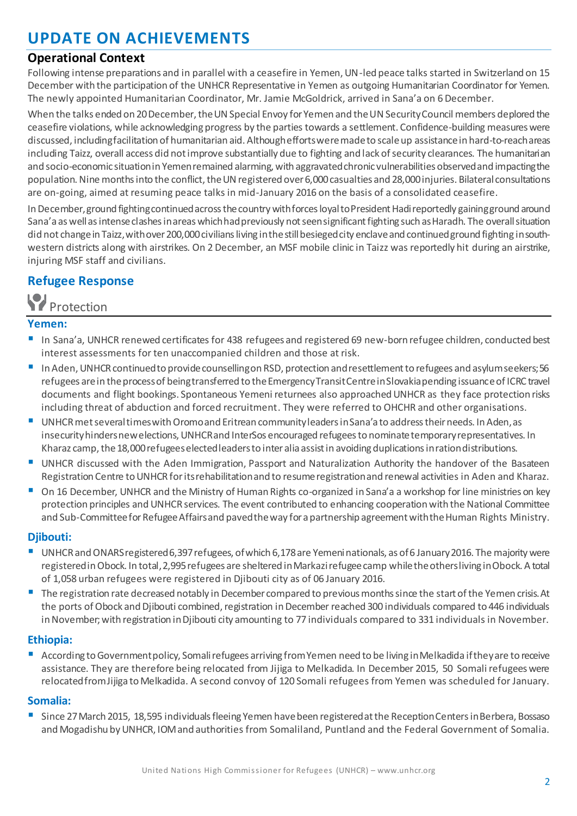## **UPDATE ON ACHIEVEMENTS**

#### **Operational Context**

Following intense preparations and in parallel with a ceasefire in Yemen, UN-led peace talks started in Switzerland on 15 December with the participation of the UNHCR Representative in Yemen as outgoing Humanitarian Coordinator for Yemen. The newly appointed Humanitarian Coordinator, Mr. Jamie McGoldrick, arrived in Sana'a on 6 December.

When the talks ended on 20 December, the UN Special Envoy for Yemen and the UN Security Council members deplored the ceasefire violations, while acknowledging progress by the parties towards a settlement. Confidence-building measures were discussed, including facilitation of humanitarian aid. Although efforts were made to scale up assistance in hard-to-reach areas including Taizz, overall access did not improve substantially due to fighting and lack of security clearances. The humanitarian and socio-economic situation in Yemen remained alarming, with aggravated chronic vulnerabilities observed and impacting the population. Nine months into the conflict, the UN registered over 6,000 casualties and 28,000 injuries. Bilateral consultations are on-going, aimed at resuming peace talks in mid-January 2016 on the basis of a consolidated ceasefire.

In December, ground fighting continued across the country with forces loyal to President Hadi reportedly gaining ground around Sana'a as well as intense clashes in areas which had previously not seen significant fighting such as Haradh. The overall situation did not change in Taizz, with over 200,000 civilians living in the still besieged city enclave and continued ground fighting in southwestern districts along with airstrikes. On 2 December, an MSF mobile clinic in Taizz was reportedly hit during an airstrike, injuring MSF staff and civilians.

### **Refugee Response**

Protection

#### **Yemen:**

- In Sana'a, UNHCR renewed certificates for 438 refugees and registered 69 new-born refugee children, conducted best interest assessments for ten unaccompanied children and those at risk.
- In Aden, UNHCR continued to provide counselling on RSD, protection and resettlement to refugees and asylum seekers; 56 refugees are in the process of being transferred to the Emergency Transit Centre in Slovakia pending issuance of ICRC travel documents and flight bookings. Spontaneous Yemeni returnees also approached UNHCR as they face protection risks including threat of abduction and forced recruitment. They were referred to OHCHR and other organisations.
- UNHCR met several times with Oromo and Eritrean community leaders in Sana'a to address their needs. In Aden, as insecurity hinders new elections, UNHCR and InterSos encouraged refugees to nominate temporary representatives. In Kharaz camp, the 18,000 refugees elected leaders to inter alia assist in avoiding duplications in ration distributions.
- UNHCR discussed with the Aden Immigration, Passport and Naturalization Authority the handover of the Basateen Registration Centre to UNHCR for its rehabilitation and to resume registration and renewal activities in Aden and Kharaz.
- On 16 December, UNHCR and the Ministry of Human Rights co-organized in Sana'a a workshop for line ministries on key protection principles and UNHCR services. The event contributed to enhancing cooperation with the National Committee and Sub-Committee for Refugee Affairs and pavedthe way for a partnership agreement with the Human Rights Ministry.

#### **Djibouti:**

- UNHCR and ONARS registered 6,397 refugees, of which 6,178 are Yemeni nationals, as of 6 January 2016. The majority were registered in Obock. In total, 2,995 refugees are sheltered in Markazi refugee camp while the others living in Obock. A total of 1,058 urban refugees were registered in Djibouti city as of 06 January 2016.
- The registration rate decreased notably in December compared to previous months since the start of the Yemen crisis. At the ports of Obock and Djibouti combined, registration in December reached 300 individuals compared to 446 individuals in November; with registration in Djibouti city amounting to 77 individuals compared to 331 individuals in November.

#### **Ethiopia:**

 According to Government policy, Somali refugees arriving from Yemen need to be living in Melkadida if they are to receive assistance. They are therefore being relocated from Jijiga to Melkadida. In December 2015, 50 Somali refugees were relocatedfrom Jijiga toMelkadida. A second convoy of 120 Somali refugees from Yemen was scheduled for January.

#### **Somalia:**

 Since 27 March 2015, 18,595 individuals fleeing Yemen have been registered at the Reception Centers in Berbera, Bossaso and Mogadishu by UNHCR, IOM and authorities from Somaliland, Puntland and the Federal Government of Somalia.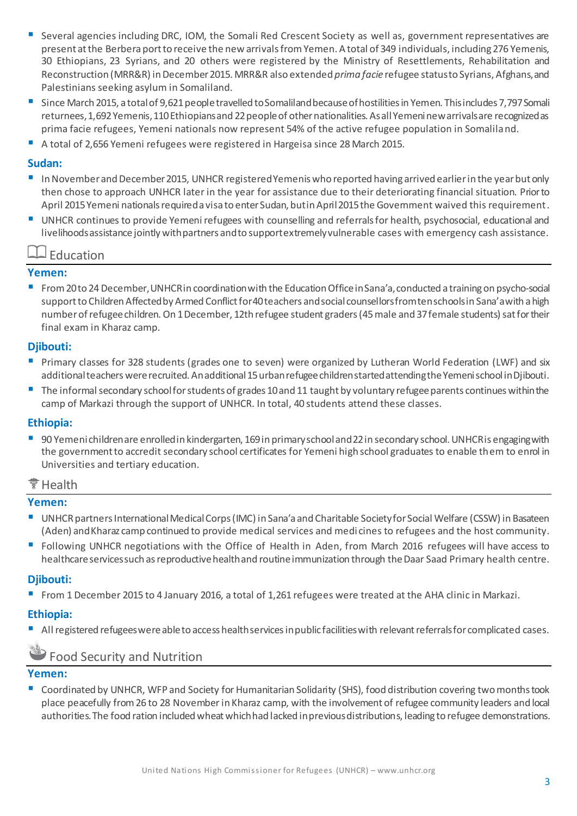- Several agencies including DRC, IOM, the Somali Red Crescent Society as well as, government representatives are present at the Berberaport to receive the new arrivals from Yemen. A total of 349 individuals, including 276 Yemenis, 30 Ethiopians, 23 Syrians, and 20 others were registered by the Ministry of Resettlements, Rehabilitation and Reconstruction (MRR&R) in December 2015. MRR&R also extended *prima facie* refugee status to Syrians, Afghans, and Palestinians seeking asylum in Somaliland.
- Since March 2015, a total of 9,621 people travelled to Somaliland because of hostilities in Yemen. This includes 7,797 Somali returnees, 1,692 Yemenis, 110 Ethiopians and 22 people of other nationalities. As all Yemeni new arrivals are recognized as prima facie refugees, Yemeni nationals now represent 54% of the active refugee population in Somaliland.
- A total of 2,656 Yemeni refugees were registered in Hargeisa since 28 March 2015.

#### **Sudan:**

- InNovember and December 2015, UNHCR registered Yemenis who reported having arrived earlier in the year but only then chose to approach UNHCR later in the year for assistance due to their deteriorating financial situation. Prior to April 2015 Yemeni nationals required a visa to enter Sudan, but in April 2015 the Government waived this requirement.
- UNHCR continues to provide Yemeni refugees with counselling and referrals for health, psychosocial, educational and livelihoods assistance jointly with partners and to support extremely vulnerable cases with emergency cash assistance.

#### $\overline{\phantom{a}}$  Education

#### **Yemen:**

 From 20 to 24 December, UNHCR in coordination with the Education Office in Sana'a, conducted a training on psycho-social support to Children Affected by Armed Conflict for 40 teachers and social counsellors from ten schools in Sana'a with a high number of refugee children. On 1 December, 12th refugee student graders (45male and 37 female students) sat for their final exam in Kharaz camp.

#### **Djibouti:**

- **Primary classes for 328 students (grades one to seven) were organized by Lutheran World Federation (LWF) and six** additional teachers wererecruited. An additional 15 urban refugee children startedattendingthe Yemeni school in Djibouti.
- The informal secondary school for students of grades 10 and 11 taught by voluntary refugee parents continues within the camp of Markazi through the support of UNHCR. In total, 40 students attend these classes.

#### **Ethiopia:**

 90 Yemeni children are enrolled in kindergarten, 169 in primary school and 22 in secondary school. UNHCR is engaging with the government to accredit secondary school certificates for Yemeni high school graduates to enable them to enrol in Universities and tertiary education.

#### Health

#### **Yemen:**

- UNHCR partners International Medical Corps (IMC) in Sana'a and Charitable Society for Social Welfare (CSSW) in Basateen (Aden) and Kharaz camp continued to provide medical services and medi cines to refugees and the host community.
- Following UNHCR negotiations with the Office of Health in Aden, from March 2016 refugees will have access to healthcare services such as reproductive health and routine immunization through the Daar Saad Primary health centre.

#### **Djibouti:**

From 1 December 2015 to 4 January 2016, a total of 1,261 refugees were treated at the AHA clinic in Markazi.

#### **Ethiopia:**

All registered refugees were able to access health services in public facilities with relevant referrals for complicated cases.

### Food Security and Nutrition

#### **Yemen:**

 Coordinated by UNHCR, WFP and Society for Humanitarian Solidarity (SHS), food distribution covering two months took place peacefully from 26 to 28 November in Kharaz camp, with the involvement of refugee community leaders and local authorities. The food ration included wheat which had lacked in previous distributions, leading to refugee demonstrations.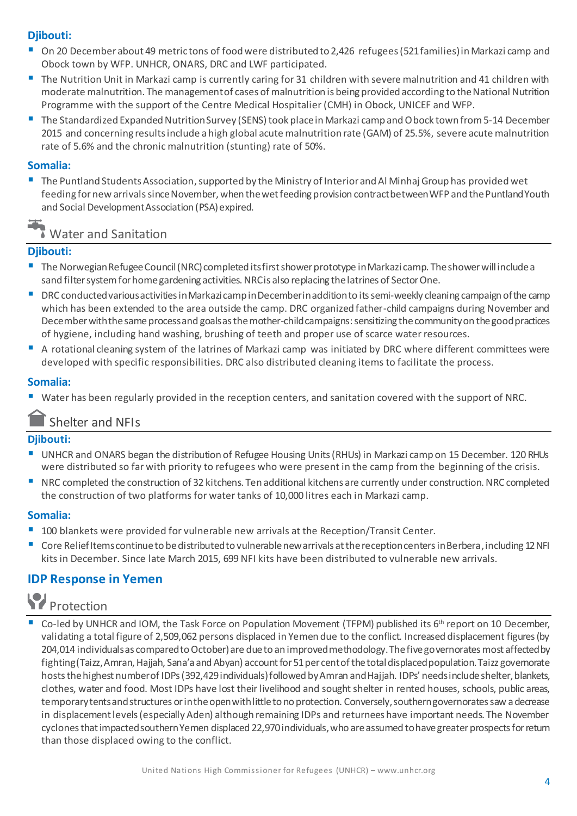#### **Djibouti:**

- On 20 December about 49 metric tons of food were distributed to 2,426 refugees (521 families) in Markazi camp and Obock town by WFP. UNHCR, ONARS, DRC and LWF participated.
- The Nutrition Unit in Markazi camp is currently caring for 31 children with severe malnutrition and 41 children with moderate malnutrition. The management of cases of malnutrition is being provided according to the National Nutrition Programme with the support of the Centre Medical Hospitalier (CMH) in Obock, UNICEF and WFP.
- The Standardized Expanded Nutrition Survey (SENS) took place in Markazi camp and Obock town from 5-14 December 2015 and concerning results include a high global acute malnutrition rate (GAM) of 25.5%, severe acute malnutrition rate of 5.6% and the chronic malnutrition (stunting) rate of 50%.

#### **Somalia:**

The Puntland Students Association, supported by the Ministry of Interior and Al Minhaj Group has provided wet feeding for new arrivalssince November, when the wet feeding provision contract between WFP and the Puntland Youth and Social Development Association (PSA) expired.

Water and Sanitation

#### **Djibouti:**

- The Norwegian Refugee Council (NRC) completed its first shower prototype in Markazi camp. The shower will include a sand filter system for home gardening activities. NRC is also replacing the latrines of Sector One.
- DRC conducted various activities in Markazi camp inDecember in addition to its semi-weekly cleaning campaign of the camp which has been extended to the area outside the camp. DRC organized father-child campaigns during November and December with the same process and goals as the mother-child campaigns:sensitizing the community on the good practices of hygiene, including hand washing, brushing of teeth and proper use of scarce water resources.
- A rotational cleaning system of the latrines of Markazi camp was initiated by DRC where different committees were developed with specific responsibilities. DRC also distributed cleaning items to facilitate the process.

#### **Somalia:**

Water has been regularly provided in the reception centers, and sanitation covered with the support of NRC.

### Shelter and NFIs

#### **Djibouti:**

- UNHCR and ONARS began the distribution of Refugee Housing Units (RHUs) in Markazi camp on 15 December. 120 RHUs were distributed so far with priority to refugees who were present in the camp from the beginning of the crisis.
- NRC completed the construction of 32 kitchens. Ten additional kitchens are currently under construction. NRC completed the construction of two platforms for water tanks of 10,000 litres each in Markazi camp.

#### **Somalia:**

- <sup>1</sup> 100 blankets were provided for vulnerable new arrivals at the Reception/Transit Center.
- Core Relief Items continue to be distributed to vulnerable new arrivals at the reception centers in Berbera, including 12 NFI kits in December. Since late March 2015, 699 NFI kits have been distributed to vulnerable new arrivals.

### **IDP Response in Yemen**

# **Protection**

Co-led by UNHCR and IOM, the Task Force on Population Movement (TFPM) published its  $6<sup>th</sup>$  report on 10 December, validating a total figure of 2,509,062 persons displaced in Yemen due to the conflict. Increased displacement figures (by 204,014 individuals as compared to October) are due to an improved methodology. The five governorates most affected by fighting (Taizz, Amran, Hajjah, Sana'a and Abyan) account for 51 per cent of the total displaced population. Taizz governorate hosts the highest number of IDPs (392,429 individuals) followed by Amran and Hajjah. IDPs' needs include shelter, blankets, clothes, water and food. Most IDPs have lost their livelihood and sought shelter in rented houses, schools, public areas, temporary tents and structures or in the open with little to no protection. Conversely, southern governorates saw a decrease in displacement levels (especially Aden) although remaining IDPs and returnees have important needs. The November cyclones that impacted southern Yemen displaced 22,970 individuals, who areassumed tohave greater prospects for return than those displaced owing to the conflict.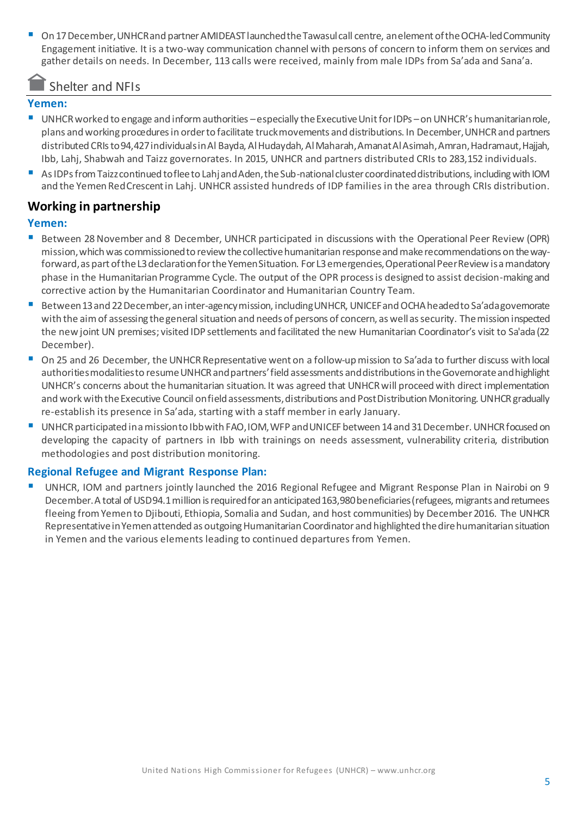On 17 December, UNHCR and partner AMIDEAST launched the Tawasul call centre, anelement of the OCHA-led Community Engagement initiative. It is a two-way communication channel with persons of concern to inform them on services and gather details on needs. In December, 113 calls were received, mainly from male IDPs from Sa'ada and Sana'a.

### Shelter and NFIs

#### **Yemen:**

- UNHCR worked to engage and inform authorities –especially the Executive Unit for IDPs –on UNHCR's humanitarian role, plans and working procedures in order to facilitate truck movements and distributions. In December, UNHCR and partners distributed CRIs to 94,427individuals in Al Bayda, Al Hudaydah, Al Maharah, Amanat Al Asimah, Amran, Hadramaut, Hajjah, Ibb, Lahj, Shabwah and Taizz governorates. In 2015, UNHCR and partners distributed CRIs to 283,152 individuals.
- As IDPs from Taizz continued to flee to Lahj and Aden, the Sub-national cluster coordinated distributions, including with IOM and the Yemen Red Crescent in Lahj. UNHCR assisted hundreds of IDP families in the area through CRIs distribution.

#### **Working in partnership**

#### **Yemen:**

- Between 28 November and 8 December, UNHCR participated in discussions with the Operational Peer Review (OPR) mission, which was commissioned to review the collective humanitarian response and make recommendations on the wayforward, as part of the L3 declaration for the Yemen Situation. For L3 emergencies, Operational Peer Review is a mandatory phase in the Humanitarian Programme Cycle. The output of the OPR process is designed to assist decision-making and corrective action by the Humanitarian Coordinator and Humanitarian Country Team.
- Between 13 and 22 December, an inter-agency mission, including UNHCR, UNICEF and OCHA headed to Sa'ada governorate with the aim of assessing the general situation and needs of persons of concern, as well as security. The mission inspected the new joint UN premises; visited IDP settlements and facilitated the new Humanitarian Coordinator's visit to Sa'ada (22 December).
- On 25 and 26 December, the UNHCR Representative went on a follow-up mission to Sa'ada to further discuss with local authorities modalities to resume UNHCR and partners' field assessments and distributions in the Governorate and highlight UNHCR's concerns about the humanitarian situation. It was agreed that UNHCR will proceed with direct implementation and work with the Executive Council on field assessments, distributions and Post Distribution Monitoring. UNHCR gradually re-establish its presence in Sa'ada, starting with a staff member in early January.
- UNHCR participated in a mission to Ibb with FAO, IOM, WFP and UNICEF between 14 and 31 December. UNHCR focused on developing the capacity of partners in Ibb with trainings on needs assessment, vulnerability criteria, distribution methodologies and post distribution monitoring.

#### **Regional Refugee and Migrant Response Plan:**

 UNHCR, IOM and partners jointly launched the 2016 Regional Refugee and Migrant Response Plan in Nairobi on 9 December. A total of USD 94.1 million is required for an anticipated 163,980 beneficiaries (refugees, migrants and returnees fleeing from Yemen to Djibouti, Ethiopia, Somalia and Sudan, and host communities) by December 2016. The UNHCR Representative in Yemen attended as outgoing Humanitarian Coordinator and highlighted the dire humanitarian situation in Yemen and the various elements leading to continued departures from Yemen.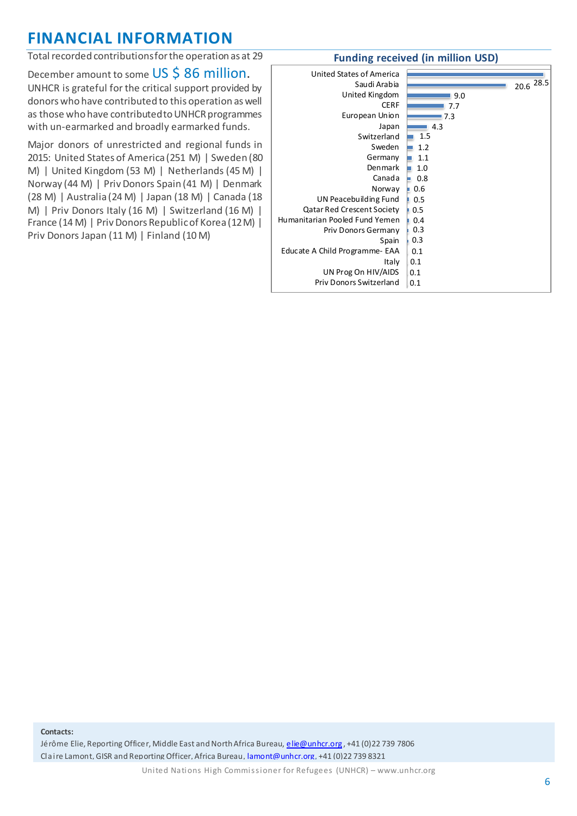## **FINANCIAL INFORMATION**

Total recorded contributions for the operation as at 29

December amount to some US \$86 million. UNHCR is grateful for the critical support provided by donors who have contributed to this operation as well as those who have contributed to UNHCR programmes with un-earmarked and broadly earmarked funds.

Major donors of unrestricted and regional funds in 2015: United States of America (251 M) | Sweden (80 M) | United Kingdom (53 M) | Netherlands (45 M) | Norway (44 M) | Priv Donors Spain (41 M) | Denmark (28 M) | Australia (24 M) | Japan (18 M) | Canada (18 M) | Priv Donors Italy (16 M) | Switzerland (16 M) | France (14 M) | Priv Donors Republic of Korea (12 M) | Priv Donors Japan (11 M) | Finland (10 M)

#### **Funding received (in million USD)**

| United States of America<br>Saudi Arabia<br>United Kingdom<br><b>CERF</b><br>European Union<br>Japan<br>Switzerland<br>Sweden<br>Germany<br>Denmark<br>Canada<br>Norway<br>UN Peacebuilding Fund<br><b>Qatar Red Crescent Society</b><br>Humanitarian Pooled Fund Yemen<br>Priv Donors Germany<br>Spain<br>Educate A Child Programme- EAA<br>Italy<br>UN Prog On HIV/AIDS | 9.0<br>7.7<br>7.3<br>4.3<br>1.5<br>1.2<br>1.1<br>1.0<br>0.8<br>$\blacksquare$ 0.6<br>0.5<br>0.5<br>0.4<br>0.3<br>0.3<br>0.1<br>0.1<br>0.1 | 20.6 28.5 |  |
|---------------------------------------------------------------------------------------------------------------------------------------------------------------------------------------------------------------------------------------------------------------------------------------------------------------------------------------------------------------------------|-------------------------------------------------------------------------------------------------------------------------------------------|-----------|--|
| Priv Donors Switzerland                                                                                                                                                                                                                                                                                                                                                   | 0.1                                                                                                                                       |           |  |